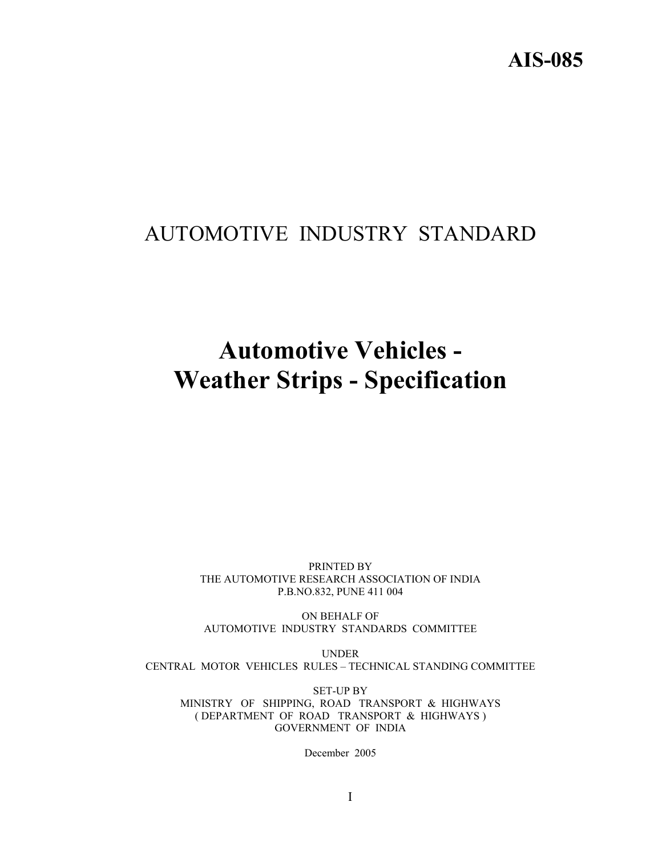## **AIS-085**

# AUTOMOTIVE INDUSTRY STANDARD

# **Automotive Vehicles - Weather Strips - Specification**

PRINTED BY THE AUTOMOTIVE RESEARCH ASSOCIATION OF INDIA P.B.NO.832, PUNE 411 004

ON BEHALF OF AUTOMOTIVE INDUSTRY STANDARDS COMMITTEE

UNDER CENTRAL MOTOR VEHICLES RULES – TECHNICAL STANDING COMMITTEE

SET-UP BY MINISTRY OF SHIPPING, ROAD TRANSPORT & HIGHWAYS ( DEPARTMENT OF ROAD TRANSPORT & HIGHWAYS ) GOVERNMENT OF INDIA

December 2005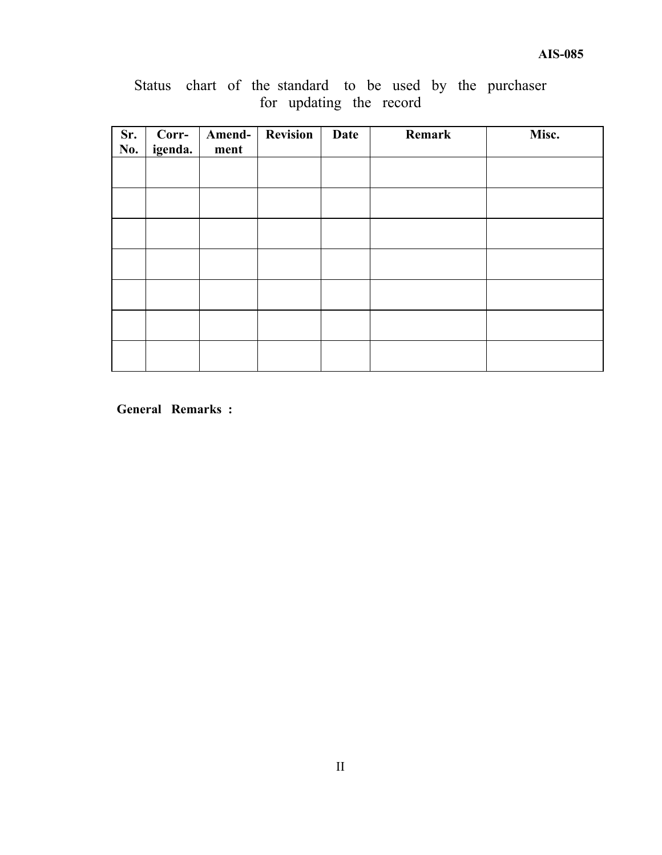|  |  |                         |  |  | Status chart of the standard to be used by the purchaser |
|--|--|-------------------------|--|--|----------------------------------------------------------|
|  |  | for updating the record |  |  |                                                          |

| Sr.<br>No. | Corr-<br>igenda. | Amend-<br>ment | <b>Revision</b> | Date | Remark | Misc. |
|------------|------------------|----------------|-----------------|------|--------|-------|
|            |                  |                |                 |      |        |       |
|            |                  |                |                 |      |        |       |
|            |                  |                |                 |      |        |       |
|            |                  |                |                 |      |        |       |
|            |                  |                |                 |      |        |       |
|            |                  |                |                 |      |        |       |
|            |                  |                |                 |      |        |       |

**General Remarks :**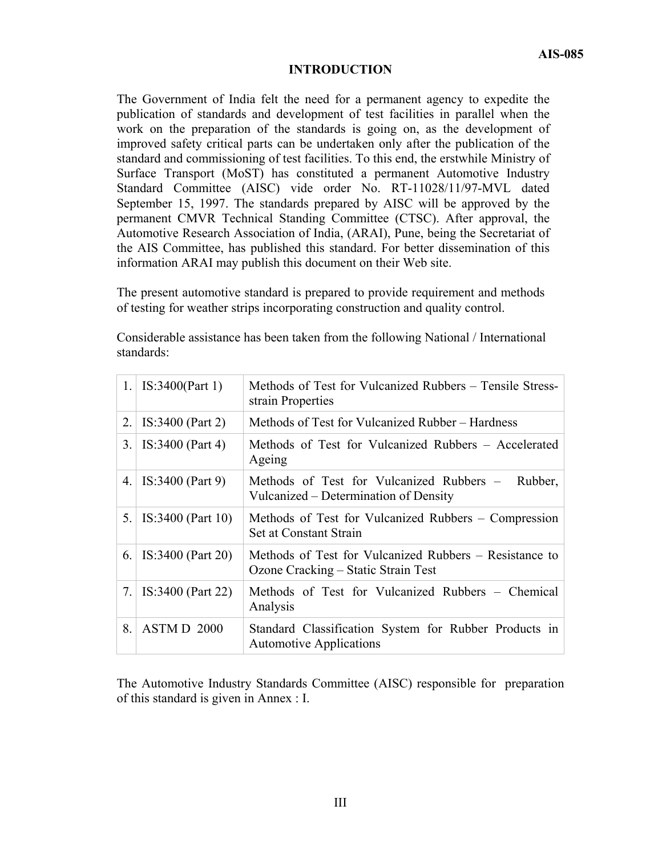#### **INTRODUCTION**

The Government of India felt the need for a permanent agency to expedite the publication of standards and development of test facilities in parallel when the work on the preparation of the standards is going on, as the development of improved safety critical parts can be undertaken only after the publication of the standard and commissioning of test facilities. To this end, the erstwhile Ministry of Surface Transport (MoST) has constituted a permanent Automotive Industry Standard Committee (AISC) vide order No. RT-11028/11/97-MVL dated September 15, 1997. The standards prepared by AISC will be approved by the permanent CMVR Technical Standing Committee (CTSC). After approval, the Automotive Research Association of India, (ARAI), Pune, being the Secretariat of the AIS Committee, has published this standard. For better dissemination of this information ARAI may publish this document on their Web site.

The present automotive standard is prepared to provide requirement and methods of testing for weather strips incorporating construction and quality control.

Considerable assistance has been taken from the following National / International standards:

| 1. | IS:3400 (Part 1)   | Methods of Test for Vulcanized Rubbers – Tensile Stress-<br>strain Properties                 |
|----|--------------------|-----------------------------------------------------------------------------------------------|
| 2. | IS:3400 (Part 2)   | Methods of Test for Vulcanized Rubber – Hardness                                              |
| 3. | $IS:3400$ (Part 4) | Methods of Test for Vulcanized Rubbers – Accelerated<br>Ageing                                |
| 4. | $IS:3400$ (Part 9) | Methods of Test for Vulcanized Rubbers –<br>Rubber,<br>Vulcanized – Determination of Density  |
| 5. | IS:3400 (Part 10)  | Methods of Test for Vulcanized Rubbers – Compression<br>Set at Constant Strain                |
| 6. | IS:3400 (Part 20)  | Methods of Test for Vulcanized Rubbers – Resistance to<br>Ozone Cracking – Static Strain Test |
| 7. | IS:3400 (Part 22)  | Methods of Test for Vulcanized Rubbers – Chemical<br>Analysis                                 |
| 8. | ASTMD 2000         | Standard Classification System for Rubber Products in<br><b>Automotive Applications</b>       |

The Automotive Industry Standards Committee (AISC) responsible for preparation of this standard is given in Annex : I.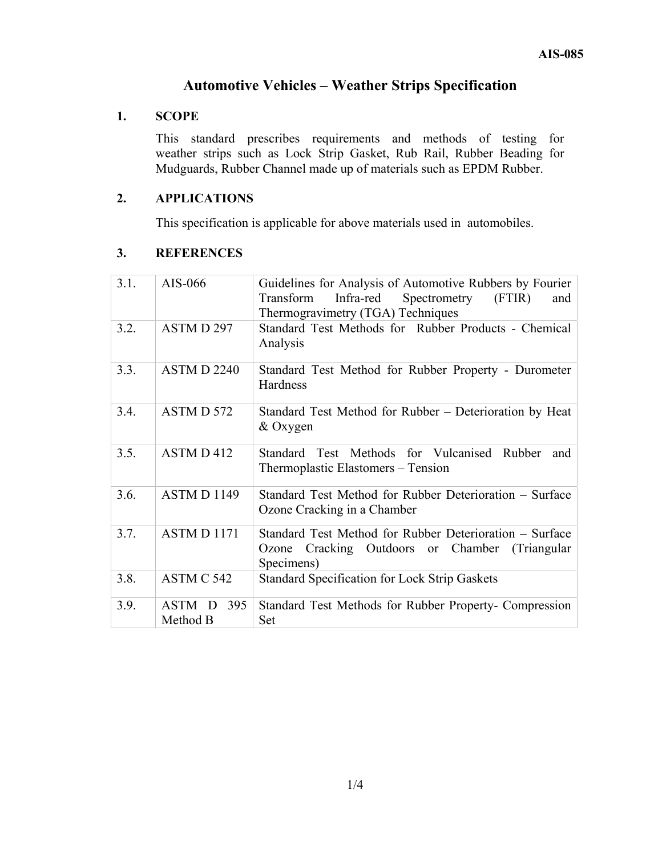### **Automotive Vehicles – Weather Strips Specification**

#### **1. SCOPE**

This standard prescribes requirements and methods of testing for weather strips such as Lock Strip Gasket, Rub Rail, Rubber Beading for Mudguards, Rubber Channel made up of materials such as EPDM Rubber.

#### **2. APPLICATIONS**

This specification is applicable for above materials used in automobiles.

#### **3. REFERENCES**

| 3.1. | AIS-066                   | Guidelines for Analysis of Automotive Rubbers by Fourier<br>Infra-red<br>Spectrometry<br>(FTIR)<br>Transform<br>and<br>Thermogravimetry (TGA) Techniques |
|------|---------------------------|----------------------------------------------------------------------------------------------------------------------------------------------------------|
| 3.2. | ASTMD 297                 | Standard Test Methods for Rubber Products - Chemical<br>Analysis                                                                                         |
| 3.3. | ASTM D 2240               | Standard Test Method for Rubber Property - Durometer<br>Hardness                                                                                         |
| 3.4. | ASTM D 572                | Standard Test Method for Rubber – Deterioration by Heat<br>& Oxygen                                                                                      |
| 3.5. | ASTM D 412                | Standard Test Methods for Vulcanised Rubber<br>and<br>Thermoplastic Elastomers – Tension                                                                 |
| 3.6. | ASTM D 1149               | Standard Test Method for Rubber Deterioration – Surface<br>Ozone Cracking in a Chamber                                                                   |
| 3.7. | ASTM D 1171               | Standard Test Method for Rubber Deterioration – Surface<br>Cracking Outdoors or Chamber<br>(Triangular)<br>Ozone<br>Specimens)                           |
| 3.8. | ASTM C 542                | <b>Standard Specification for Lock Strip Gaskets</b>                                                                                                     |
| 3.9. | ASTM D<br>395<br>Method B | Standard Test Methods for Rubber Property- Compression<br>Set                                                                                            |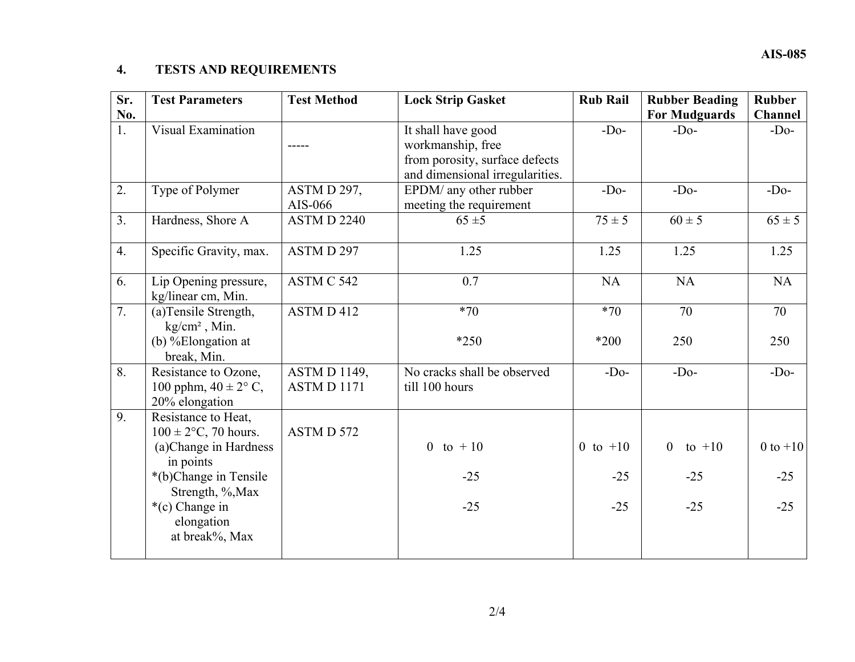## **4. TESTS AND REQUIREMENTS**

| Sr.<br>No.     | <b>Test Parameters</b>                                                                                                                                                                | <b>Test Method</b>               | <b>Lock Strip Gasket</b>                                                                                     | <b>Rub Rail</b>              | <b>Rubber Beading</b><br><b>For Mudguards</b> | <b>Rubber</b><br><b>Channel</b> |
|----------------|---------------------------------------------------------------------------------------------------------------------------------------------------------------------------------------|----------------------------------|--------------------------------------------------------------------------------------------------------------|------------------------------|-----------------------------------------------|---------------------------------|
| 1.             | <b>Visual Examination</b>                                                                                                                                                             |                                  | It shall have good<br>workmanship, free<br>from porosity, surface defects<br>and dimensional irregularities. | $-Do-$                       | $-Do-$                                        | $-Do-$                          |
| 2.             | Type of Polymer                                                                                                                                                                       | ASTM D 297,<br>AIS-066           | EPDM/ any other rubber<br>meeting the requirement                                                            | $-Do-$                       | $-Do-$                                        | $-Do-$                          |
| 3 <sub>1</sub> | Hardness, Shore A                                                                                                                                                                     | <b>ASTM D 2240</b>               | $65 \pm 5$                                                                                                   | $75 \pm 5$                   | $60 \pm 5$                                    | $65 \pm 5$                      |
| 4.             | Specific Gravity, max.                                                                                                                                                                | ASTMD 297                        | 1.25                                                                                                         | 1.25                         | 1.25                                          | 1.25                            |
| 6.             | Lip Opening pressure,<br>kg/linear cm, Min.                                                                                                                                           | ASTM C 542                       | 0.7                                                                                                          | <b>NA</b>                    | <b>NA</b>                                     | <b>NA</b>                       |
| 7.             | (a)Tensile Strength,<br>$kg/cm2$ , Min.<br>(b) %Elongation at<br>break, Min.                                                                                                          | ASTM D 412                       | $*70$<br>$*250$                                                                                              | $*70$<br>*200                | 70<br>250                                     | 70<br>250                       |
| 8.             | Resistance to Ozone,<br>100 pphm, $40 \pm 2^{\circ}$ C,<br>20% elongation                                                                                                             | <b>ASTMD1149,</b><br>ASTM D 1171 | No cracks shall be observed<br>till 100 hours                                                                | $-Do-$                       | $-Do-$                                        | $-Do-$                          |
| 9.             | Resistance to Heat,<br>$100 \pm 2$ °C, 70 hours.<br>(a)Change in Hardness<br>in points<br>*(b)Change in Tensile<br>Strength, %, Max<br>*(c) Change in<br>elongation<br>at break%, Max | ASTMD 572                        | 0 to $+10$<br>$-25$<br>$-25$                                                                                 | 0 to $+10$<br>$-25$<br>$-25$ | $\overline{0}$<br>to $+10$<br>$-25$<br>$-25$  | $0$ to $+10$<br>$-25$<br>$-25$  |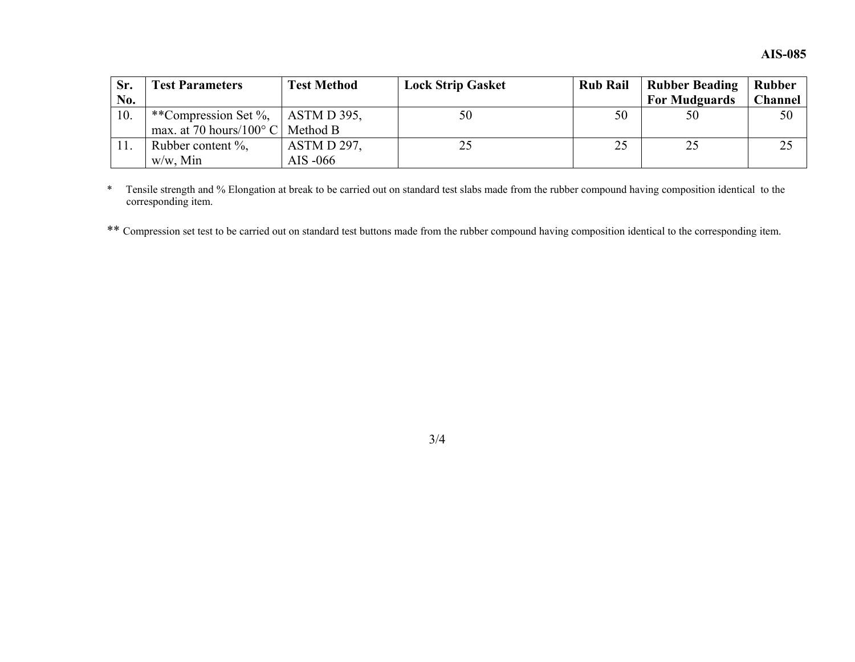| Sr. | <b>Fest Parameters</b>             | <b>Test Method</b> | <b>Lock Strip Gasket</b> | <b>Rub Rail</b> | <b>Rubber Beading</b> | <b>Rubber</b>  |
|-----|------------------------------------|--------------------|--------------------------|-----------------|-----------------------|----------------|
| No. |                                    |                    |                          |                 | <b>For Mudguards</b>  | <b>Channel</b> |
| 10. | **Compression Set %,   ASTM D 395, |                    | 50                       | 50              | 50                    | 50             |
|     | max. at 70 hours/ $100^{\circ}$ C  | Method B           |                          |                 |                       |                |
|     | Rubber content $\%$ ,              | ASTM D 297,        | 25                       | 25              | 25                    |                |
|     | $w/w$ , Min                        | AIS -066           |                          |                 |                       |                |

\* Tensile strength and % Elongation at break to be carried out on standard test slabs made from the rubber compound having composition identical to the corresponding item.

\*\* Compression set test to be carried out on standard test buttons made from the rubber compound having composition identical to the corresponding item.

3/4